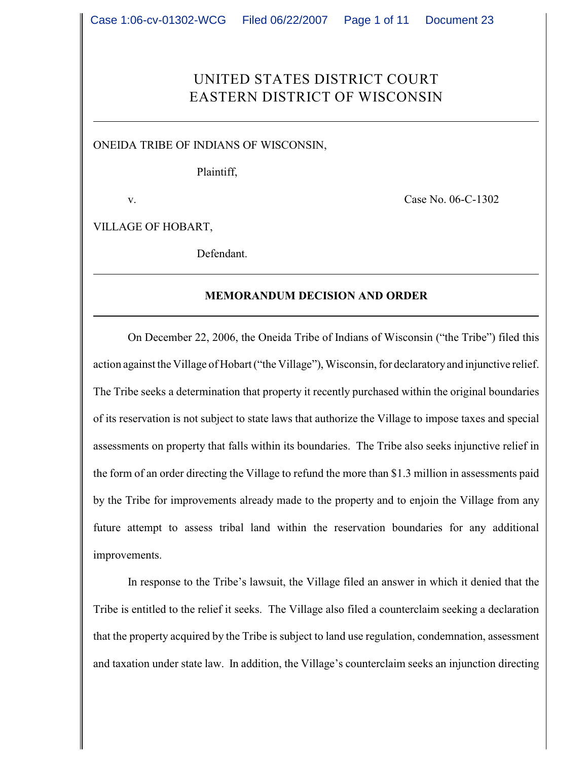# UNITED STATES DISTRICT COURT EASTERN DISTRICT OF WISCONSIN

ONEIDA TRIBE OF INDIANS OF WISCONSIN,

Plaintiff,

v. Case No. 06-C-1302

VILLAGE OF HOBART,

Defendant.

## **MEMORANDUM DECISION AND ORDER**

On December 22, 2006, the Oneida Tribe of Indians of Wisconsin ("the Tribe") filed this action against the Village of Hobart ("the Village"), Wisconsin, for declaratory and injunctive relief. The Tribe seeks a determination that property it recently purchased within the original boundaries of its reservation is not subject to state laws that authorize the Village to impose taxes and special assessments on property that falls within its boundaries. The Tribe also seeks injunctive relief in the form of an order directing the Village to refund the more than \$1.3 million in assessments paid by the Tribe for improvements already made to the property and to enjoin the Village from any future attempt to assess tribal land within the reservation boundaries for any additional improvements.

In response to the Tribe's lawsuit, the Village filed an answer in which it denied that the Tribe is entitled to the relief it seeks. The Village also filed a counterclaim seeking a declaration that the property acquired by the Tribe is subject to land use regulation, condemnation, assessment and taxation under state law. In addition, the Village's counterclaim seeks an injunction directing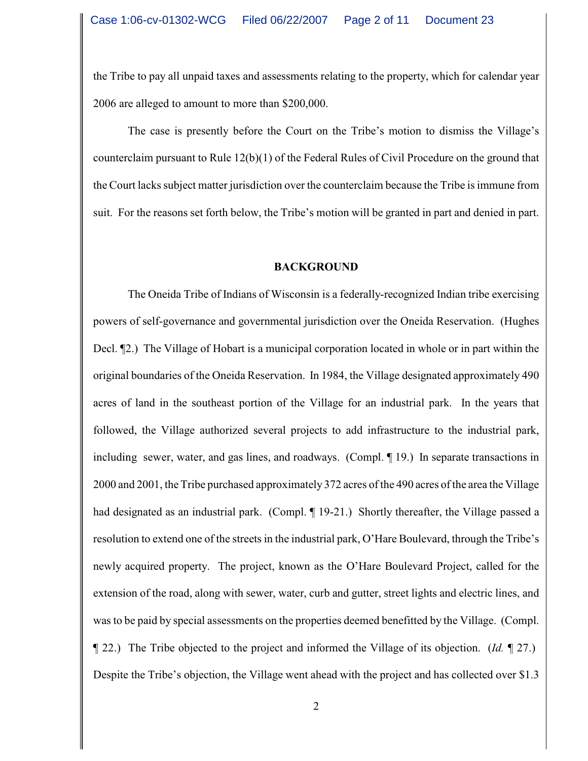the Tribe to pay all unpaid taxes and assessments relating to the property, which for calendar year 2006 are alleged to amount to more than \$200,000.

The case is presently before the Court on the Tribe's motion to dismiss the Village's counterclaim pursuant to Rule 12(b)(1) of the Federal Rules of Civil Procedure on the ground that the Court lacks subject matter jurisdiction over the counterclaim because the Tribe is immune from suit. For the reasons set forth below, the Tribe's motion will be granted in part and denied in part.

#### **BACKGROUND**

The Oneida Tribe of Indians of Wisconsin is a federally-recognized Indian tribe exercising powers of self-governance and governmental jurisdiction over the Oneida Reservation. (Hughes Decl. ¶2.) The Village of Hobart is a municipal corporation located in whole or in part within the original boundaries of the Oneida Reservation. In 1984, the Village designated approximately 490 acres of land in the southeast portion of the Village for an industrial park. In the years that followed, the Village authorized several projects to add infrastructure to the industrial park, including sewer, water, and gas lines, and roadways. (Compl. ¶ 19.) In separate transactions in 2000 and 2001, the Tribe purchased approximately 372 acres of the 490 acres of the area the Village had designated as an industrial park. (Compl. ¶ 19-21.) Shortly thereafter, the Village passed a resolution to extend one of the streets in the industrial park, O'Hare Boulevard, through the Tribe's newly acquired property. The project, known as the O'Hare Boulevard Project, called for the extension of the road, along with sewer, water, curb and gutter, street lights and electric lines, and was to be paid by special assessments on the properties deemed benefitted by the Village. (Compl. ¶ 22.) The Tribe objected to the project and informed the Village of its objection. (*Id.* ¶ 27.) Despite the Tribe's objection, the Village went ahead with the project and has collected over \$1.3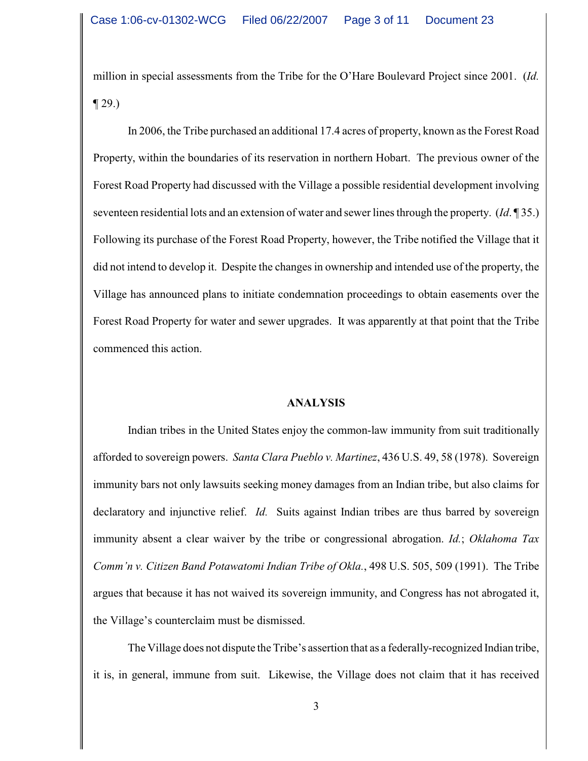million in special assessments from the Tribe for the O'Hare Boulevard Project since 2001. (*Id.*  $\P$  29.)

In 2006, the Tribe purchased an additional 17.4 acres of property, known as the Forest Road Property, within the boundaries of its reservation in northern Hobart. The previous owner of the Forest Road Property had discussed with the Village a possible residential development involving seventeen residential lots and an extension of water and sewer lines through the property. (*Id*. ¶ 35.) Following its purchase of the Forest Road Property, however, the Tribe notified the Village that it did not intend to develop it. Despite the changes in ownership and intended use of the property, the Village has announced plans to initiate condemnation proceedings to obtain easements over the Forest Road Property for water and sewer upgrades. It was apparently at that point that the Tribe commenced this action.

## **ANALYSIS**

Indian tribes in the United States enjoy the common-law immunity from suit traditionally afforded to sovereign powers. *Santa Clara Pueblo v. Martinez*, 436 U.S. 49, 58 (1978). Sovereign immunity bars not only lawsuits seeking money damages from an Indian tribe, but also claims for declaratory and injunctive relief. *Id.* Suits against Indian tribes are thus barred by sovereign immunity absent a clear waiver by the tribe or congressional abrogation. *Id.*; *Oklahoma Tax Comm'n v. Citizen Band Potawatomi Indian Tribe of Okla.*, 498 U.S. 505, 509 (1991). The Tribe argues that because it has not waived its sovereign immunity, and Congress has not abrogated it, the Village's counterclaim must be dismissed.

The Village does not dispute the Tribe's assertion that as a federally-recognized Indian tribe, it is, in general, immune from suit. Likewise, the Village does not claim that it has received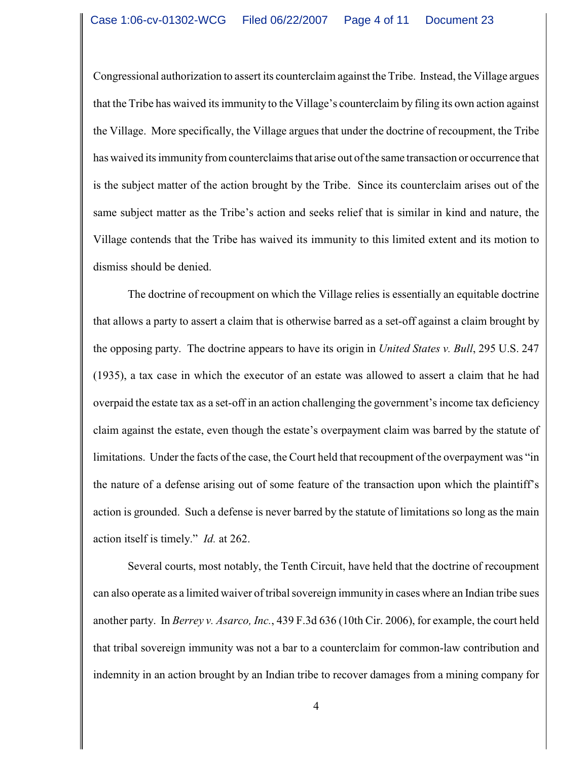Congressional authorization to assert its counterclaim against the Tribe. Instead, the Village argues that the Tribe has waived its immunity to the Village's counterclaim by filing its own action against the Village. More specifically, the Village argues that under the doctrine of recoupment, the Tribe has waived its immunity from counterclaims that arise out of the same transaction or occurrence that is the subject matter of the action brought by the Tribe. Since its counterclaim arises out of the same subject matter as the Tribe's action and seeks relief that is similar in kind and nature, the Village contends that the Tribe has waived its immunity to this limited extent and its motion to dismiss should be denied.

The doctrine of recoupment on which the Village relies is essentially an equitable doctrine that allows a party to assert a claim that is otherwise barred as a set-off against a claim brought by the opposing party. The doctrine appears to have its origin in *United States v. Bull*, 295 U.S. 247 (1935), a tax case in which the executor of an estate was allowed to assert a claim that he had overpaid the estate tax as a set-off in an action challenging the government's income tax deficiency claim against the estate, even though the estate's overpayment claim was barred by the statute of limitations. Under the facts of the case, the Court held that recoupment of the overpayment was "in the nature of a defense arising out of some feature of the transaction upon which the plaintiff's action is grounded. Such a defense is never barred by the statute of limitations so long as the main action itself is timely." *Id.* at 262.

Several courts, most notably, the Tenth Circuit, have held that the doctrine of recoupment can also operate as a limited waiver of tribal sovereign immunity in cases where an Indian tribe sues another party. In *Berrey v. Asarco, Inc.*, 439 F.3d 636 (10th Cir. 2006), for example, the court held that tribal sovereign immunity was not a bar to a counterclaim for common-law contribution and indemnity in an action brought by an Indian tribe to recover damages from a mining company for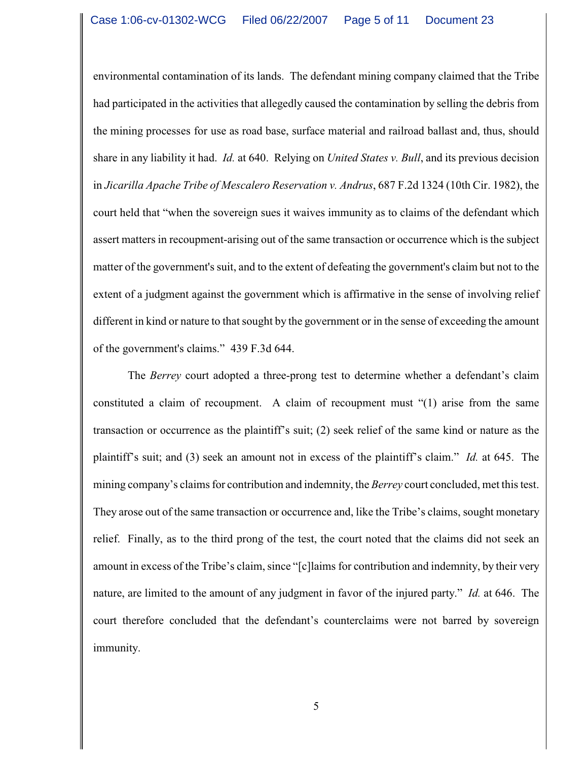environmental contamination of its lands. The defendant mining company claimed that the Tribe had participated in the activities that allegedly caused the contamination by selling the debris from the mining processes for use as road base, surface material and railroad ballast and, thus, should share in any liability it had. *Id.* at 640. Relying on *United States v. Bull*, and its previous decision in *Jicarilla Apache Tribe of Mescalero Reservation v. Andrus*, 687 F.2d 1324 (10th Cir. 1982), the court held that "when the sovereign sues it waives immunity as to claims of the defendant which assert matters in recoupment-arising out of the same transaction or occurrence which is the subject matter of the government's suit, and to the extent of defeating the government's claim but not to the extent of a judgment against the government which is affirmative in the sense of involving relief different in kind or nature to that sought by the government or in the sense of exceeding the amount of the government's claims." 439 F.3d 644.

The *Berrey* court adopted a three-prong test to determine whether a defendant's claim constituted a claim of recoupment. A claim of recoupment must "(1) arise from the same transaction or occurrence as the plaintiff's suit; (2) seek relief of the same kind or nature as the plaintiff's suit; and (3) seek an amount not in excess of the plaintiff's claim." *Id.* at 645. The mining company's claims for contribution and indemnity, the *Berrey* court concluded, met this test. They arose out of the same transaction or occurrence and, like the Tribe's claims, sought monetary relief. Finally, as to the third prong of the test, the court noted that the claims did not seek an amount in excess of the Tribe's claim, since "[c]laims for contribution and indemnity, by their very nature, are limited to the amount of any judgment in favor of the injured party." *Id.* at 646. The court therefore concluded that the defendant's counterclaims were not barred by sovereign immunity.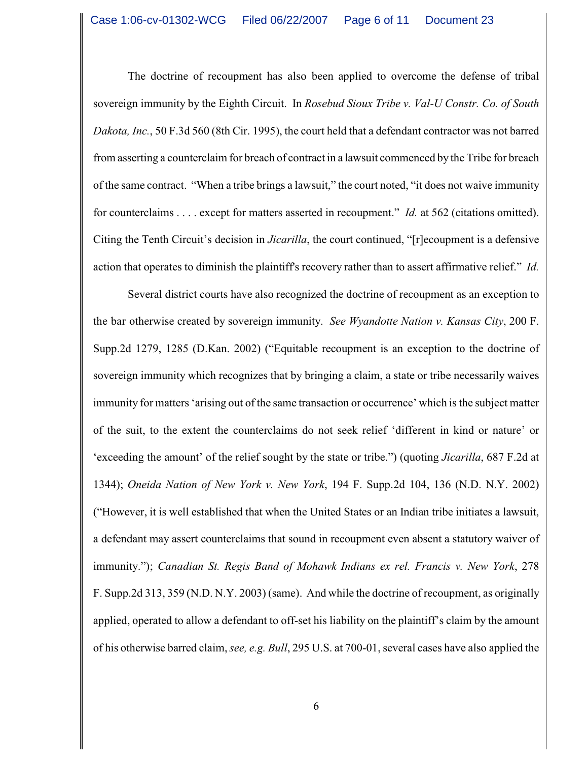The doctrine of recoupment has also been applied to overcome the defense of tribal sovereign immunity by the Eighth Circuit. In *Rosebud Sioux Tribe v. Val-U Constr. Co. of South Dakota, Inc.*, 50 F.3d 560 (8th Cir. 1995), the court held that a defendant contractor was not barred from asserting a counterclaim for breach of contract in a lawsuit commenced by the Tribe for breach of the same contract. "When a tribe brings a lawsuit," the court noted, "it does not waive immunity for counterclaims . . . . except for matters asserted in recoupment." *Id.* at 562 (citations omitted). Citing the Tenth Circuit's decision in *Jicarilla*, the court continued, "[r]ecoupment is a defensive action that operates to diminish the plaintiff's recovery rather than to assert affirmative relief." *Id.*

Several district courts have also recognized the doctrine of recoupment as an exception to the bar otherwise created by sovereign immunity. *See Wyandotte Nation v. Kansas City*, 200 F. Supp.2d 1279, 1285 (D.Kan. 2002) ("Equitable recoupment is an exception to the doctrine of sovereign immunity which recognizes that by bringing a claim, a state or tribe necessarily waives immunity for matters 'arising out of the same transaction or occurrence' which is the subject matter of the suit, to the extent the counterclaims do not seek relief 'different in kind or nature' or 'exceeding the amount' of the relief sought by the state or tribe.") (quoting *Jicarilla*, 687 F.2d at 1344); *Oneida Nation of New York v. New York*, 194 F. Supp.2d 104, 136 (N.D. N.Y. 2002) ("However, it is well established that when the United States or an Indian tribe initiates a lawsuit, a defendant may assert counterclaims that sound in recoupment even absent a statutory waiver of immunity."); *Canadian St. Regis Band of Mohawk Indians ex rel. Francis v. New York*, 278 F. Supp.2d 313, 359 (N.D. N.Y. 2003) (same). And while the doctrine of recoupment, as originally applied, operated to allow a defendant to off-set his liability on the plaintiff's claim by the amount of his otherwise barred claim, *see, e.g. Bull*, 295 U.S. at 700-01, several cases have also applied the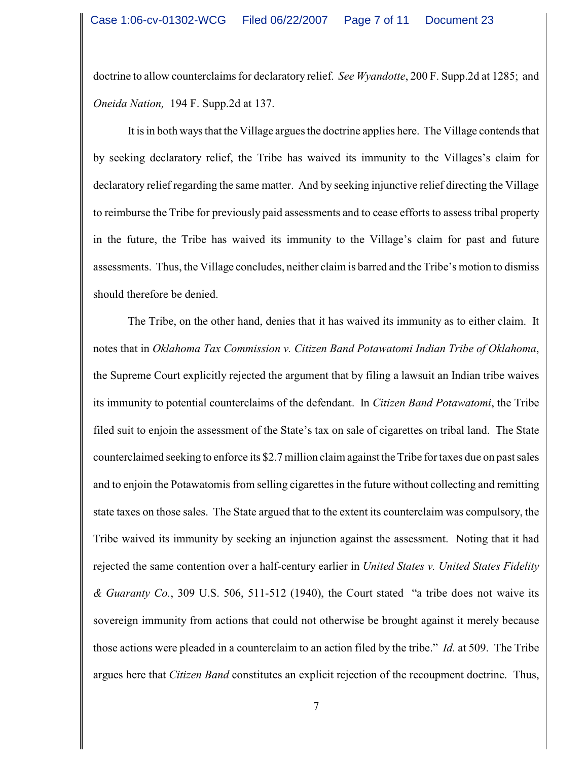doctrine to allow counterclaims for declaratory relief. *See Wyandotte*, 200 F. Supp.2d at 1285; and *Oneida Nation,* 194 F. Supp.2d at 137.

It is in both ways that the Village argues the doctrine applies here. The Village contends that by seeking declaratory relief, the Tribe has waived its immunity to the Villages's claim for declaratory relief regarding the same matter. And by seeking injunctive relief directing the Village to reimburse the Tribe for previously paid assessments and to cease efforts to assess tribal property in the future, the Tribe has waived its immunity to the Village's claim for past and future assessments. Thus, the Village concludes, neither claim is barred and the Tribe's motion to dismiss should therefore be denied.

The Tribe, on the other hand, denies that it has waived its immunity as to either claim. It notes that in *Oklahoma Tax Commission v. Citizen Band Potawatomi Indian Tribe of Oklahoma*, the Supreme Court explicitly rejected the argument that by filing a lawsuit an Indian tribe waives its immunity to potential counterclaims of the defendant. In *Citizen Band Potawatomi*, the Tribe filed suit to enjoin the assessment of the State's tax on sale of cigarettes on tribal land. The State counterclaimed seeking to enforce its \$2.7 million claim against the Tribe for taxes due on past sales and to enjoin the Potawatomis from selling cigarettes in the future without collecting and remitting state taxes on those sales. The State argued that to the extent its counterclaim was compulsory, the Tribe waived its immunity by seeking an injunction against the assessment. Noting that it had rejected the same contention over a half-century earlier in *United States v. United States Fidelity & Guaranty Co.*, 309 U.S. 506, 511-512 (1940), the Court stated "a tribe does not waive its sovereign immunity from actions that could not otherwise be brought against it merely because those actions were pleaded in a counterclaim to an action filed by the tribe." *Id.* at 509. The Tribe argues here that *Citizen Band* constitutes an explicit rejection of the recoupment doctrine. Thus,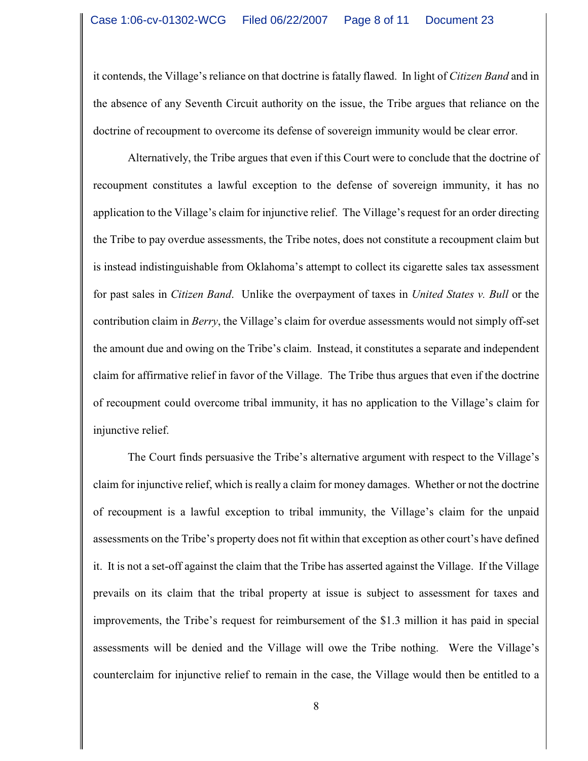it contends, the Village's reliance on that doctrine is fatally flawed. In light of *Citizen Band* and in the absence of any Seventh Circuit authority on the issue, the Tribe argues that reliance on the doctrine of recoupment to overcome its defense of sovereign immunity would be clear error.

Alternatively, the Tribe argues that even if this Court were to conclude that the doctrine of recoupment constitutes a lawful exception to the defense of sovereign immunity, it has no application to the Village's claim for injunctive relief. The Village's request for an order directing the Tribe to pay overdue assessments, the Tribe notes, does not constitute a recoupment claim but is instead indistinguishable from Oklahoma's attempt to collect its cigarette sales tax assessment for past sales in *Citizen Band*. Unlike the overpayment of taxes in *United States v. Bull* or the contribution claim in *Berry*, the Village's claim for overdue assessments would not simply off-set the amount due and owing on the Tribe's claim. Instead, it constitutes a separate and independent claim for affirmative relief in favor of the Village. The Tribe thus argues that even if the doctrine of recoupment could overcome tribal immunity, it has no application to the Village's claim for injunctive relief.

The Court finds persuasive the Tribe's alternative argument with respect to the Village's claim for injunctive relief, which is really a claim for money damages. Whether or not the doctrine of recoupment is a lawful exception to tribal immunity, the Village's claim for the unpaid assessments on the Tribe's property does not fit within that exception as other court's have defined it. It is not a set-off against the claim that the Tribe has asserted against the Village. If the Village prevails on its claim that the tribal property at issue is subject to assessment for taxes and improvements, the Tribe's request for reimbursement of the \$1.3 million it has paid in special assessments will be denied and the Village will owe the Tribe nothing. Were the Village's counterclaim for injunctive relief to remain in the case, the Village would then be entitled to a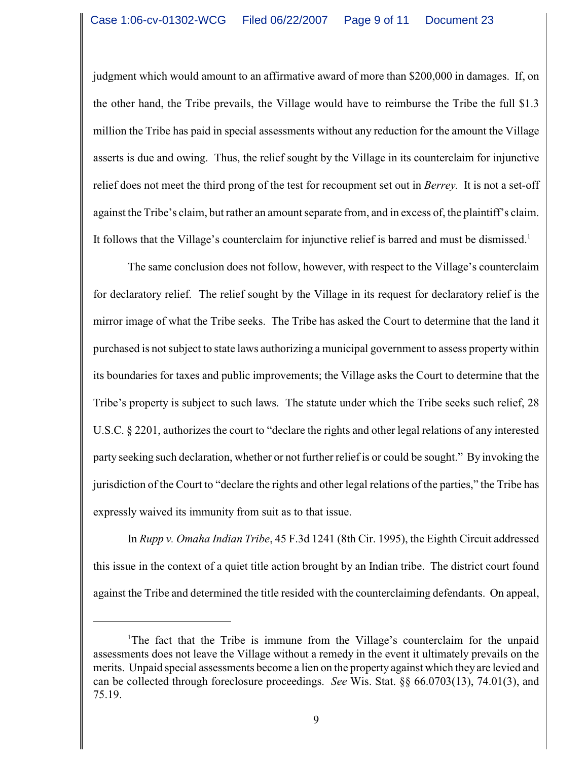judgment which would amount to an affirmative award of more than \$200,000 in damages. If, on the other hand, the Tribe prevails, the Village would have to reimburse the Tribe the full \$1.3 million the Tribe has paid in special assessments without any reduction for the amount the Village asserts is due and owing. Thus, the relief sought by the Village in its counterclaim for injunctive relief does not meet the third prong of the test for recoupment set out in *Berrey.* It is not a set-off against the Tribe's claim, but rather an amount separate from, and in excess of, the plaintiff's claim. It follows that the Village's counterclaim for injunctive relief is barred and must be dismissed.<sup>1</sup>

The same conclusion does not follow, however, with respect to the Village's counterclaim for declaratory relief. The relief sought by the Village in its request for declaratory relief is the mirror image of what the Tribe seeks. The Tribe has asked the Court to determine that the land it purchased is not subject to state laws authorizing a municipal government to assess property within its boundaries for taxes and public improvements; the Village asks the Court to determine that the Tribe's property is subject to such laws. The statute under which the Tribe seeks such relief, 28 U.S.C. § 2201, authorizes the court to "declare the rights and other legal relations of any interested party seeking such declaration, whether or not further relief is or could be sought." By invoking the jurisdiction of the Court to "declare the rights and other legal relations of the parties," the Tribe has expressly waived its immunity from suit as to that issue.

In *Rupp v. Omaha Indian Tribe*, 45 F.3d 1241 (8th Cir. 1995), the Eighth Circuit addressed this issue in the context of a quiet title action brought by an Indian tribe. The district court found against the Tribe and determined the title resided with the counterclaiming defendants. On appeal,

<sup>&</sup>lt;sup>1</sup>The fact that the Tribe is immune from the Village's counterclaim for the unpaid assessments does not leave the Village without a remedy in the event it ultimately prevails on the merits. Unpaid special assessments become a lien on the property against which they are levied and can be collected through foreclosure proceedings. *See* Wis. Stat. §§ 66.0703(13), 74.01(3), and 75.19.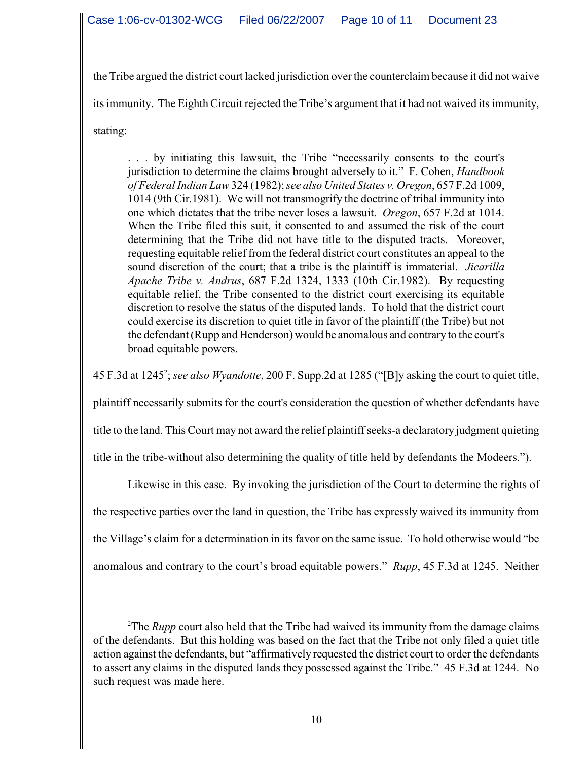the Tribe argued the district court lacked jurisdiction over the counterclaim because it did not waive its immunity. The Eighth Circuit rejected the Tribe's argument that it had not waived its immunity, stating:

. . . by initiating this lawsuit, the Tribe "necessarily consents to the court's jurisdiction to determine the claims brought adversely to it." F. Cohen, *Handbook of Federal Indian Law* 324 (1982);*see also United States v. Oregon*, 657 F.2d 1009, 1014 (9th Cir.1981). We will not transmogrify the doctrine of tribal immunity into one which dictates that the tribe never loses a lawsuit. *Oregon*, 657 F.2d at 1014. When the Tribe filed this suit, it consented to and assumed the risk of the court determining that the Tribe did not have title to the disputed tracts. Moreover, requesting equitable relief from the federal district court constitutes an appeal to the sound discretion of the court; that a tribe is the plaintiff is immaterial. *Jicarilla Apache Tribe v. Andrus*, 687 F.2d 1324, 1333 (10th Cir.1982). By requesting equitable relief, the Tribe consented to the district court exercising its equitable discretion to resolve the status of the disputed lands. To hold that the district court could exercise its discretion to quiet title in favor of the plaintiff (the Tribe) but not the defendant(Rupp and Henderson) would be anomalous and contrary to the court's broad equitable powers.

45 F.3d at 1245 ; *see also Wyandotte*, 200 F. Supp.2d at 1285 ("[B]y asking the court to quiet title, <sup>2</sup>

plaintiff necessarily submits for the court's consideration the question of whether defendants have

title to the land. This Court may not award the relief plaintiff seeks-a declaratory judgment quieting

title in the tribe-without also determining the quality of title held by defendants the Modeers.").

Likewise in this case. By invoking the jurisdiction of the Court to determine the rights of the respective parties over the land in question, the Tribe has expressly waived its immunity from the Village's claim for a determination in its favor on the same issue. To hold otherwise would "be anomalous and contrary to the court's broad equitable powers." *Rupp*, 45 F.3d at 1245. Neither

<sup>&</sup>lt;sup>2</sup>The *Rupp* court also held that the Tribe had waived its immunity from the damage claims of the defendants. But this holding was based on the fact that the Tribe not only filed a quiet title action against the defendants, but "affirmatively requested the district court to order the defendants to assert any claims in the disputed lands they possessed against the Tribe." 45 F.3d at 1244. No such request was made here.